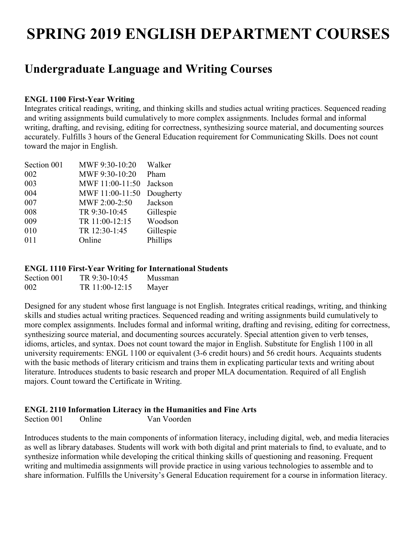# **SPRING 2019 ENGLISH DEPARTMENT COURSES**

### **Undergraduate Language and Writing Courses**

#### **ENGL 1100 First-Year Writing**

Integrates critical readings, writing, and thinking skills and studies actual writing practices. Sequenced reading and writing assignments build cumulatively to more complex assignments. Includes formal and informal writing, drafting, and revising, editing for correctness, synthesizing source material, and documenting sources accurately. Fulfills 3 hours of the General Education requirement for Communicating Skills. Does not count toward the major in English.

| Section 001 | MWF 9:30-10:20  | Walker    |
|-------------|-----------------|-----------|
| 002         | MWF 9:30-10:20  | Pham      |
| 003         | MWF 11:00-11:50 | Jackson   |
| 004         | MWF 11:00-11:50 | Dougherty |
| 007         | MWF 2:00-2:50   | Jackson   |
| 008         | TR 9:30-10:45   | Gillespie |
| 009         | TR 11:00-12:15  | Woodson   |
| 010         | TR 12:30-1:45   | Gillespie |
| 011         | Online          | Phillips  |
|             |                 |           |

#### **ENGL 1110 First-Year Writing for International Students**

| Section 001 | TR 9:30-10:45  | Mussman |
|-------------|----------------|---------|
| 002         | TR 11:00-12:15 | Mayer   |

Designed for any student whose first language is not English. Integrates critical readings, writing, and thinking skills and studies actual writing practices. Sequenced reading and writing assignments build cumulatively to more complex assignments. Includes formal and informal writing, drafting and revising, editing for correctness, synthesizing source material, and documenting sources accurately. Special attention given to verb tenses, idioms, articles, and syntax. Does not count toward the major in English. Substitute for English 1100 in all university requirements: ENGL 1100 or equivalent (3-6 credit hours) and 56 credit hours. Acquaints students with the basic methods of literary criticism and trains them in explicating particular texts and writing about literature. Introduces students to basic research and proper MLA documentation. Required of all English majors. Count toward the Certificate in Writing.

#### **ENGL 2110 Information Literacy in the Humanities and Fine Arts**

Section 001 Online Van Voorden

Introduces students to the main components of information literacy, including digital, web, and media literacies as well as library databases. Students will work with both digital and print materials to find, to evaluate, and to synthesize information while developing the critical thinking skills of questioning and reasoning. Frequent writing and multimedia assignments will provide practice in using various technologies to assemble and to share information. Fulfills the University's General Education requirement for a course in information literacy.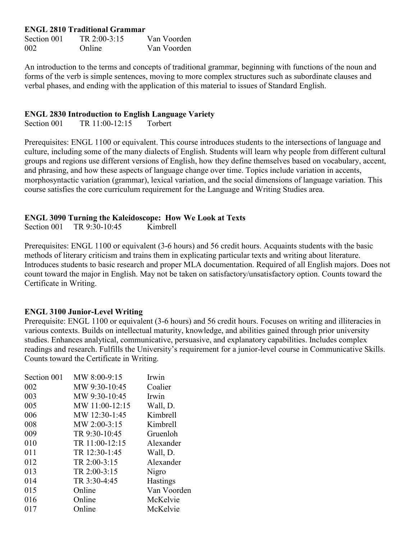#### **ENGL 2810 Traditional Grammar**

| Section 001 | TR $2:00-3:15$ | Van Voorden |
|-------------|----------------|-------------|
| 002         | <b>Online</b>  | Van Voorden |

An introduction to the terms and concepts of traditional grammar, beginning with functions of the noun and forms of the verb is simple sentences, moving to more complex structures such as subordinate clauses and verbal phases, and ending with the application of this material to issues of Standard English.

#### **ENGL 2830 Introduction to English Language Variety**

Section 001 TR 11:00-12:15 Torbert

Prerequisites: ENGL 1100 or equivalent. This course introduces students to the intersections of language and culture, including some of the many dialects of English. Students will learn why people from different cultural groups and regions use different versions of English, how they define themselves based on vocabulary, accent, and phrasing, and how these aspects of language change over time. Topics include variation in accents, morphosyntactic variation (grammar), lexical variation, and the social dimensions of language variation. This course satisfies the core curriculum requirement for the Language and Writing Studies area.

#### **ENGL 3090 Turning the Kaleidoscope: How We Look at Texts**

Section 001 TR 9:30-10:45 Kimbrell

Prerequisites: ENGL 1100 or equivalent (3-6 hours) and 56 credit hours. Acquaints students with the basic methods of literary criticism and trains them in explicating particular texts and writing about literature. Introduces students to basic research and proper MLA documentation. Required of all English majors. Does not count toward the major in English. May not be taken on satisfactory/unsatisfactory option. Counts toward the Certificate in Writing.

#### **ENGL 3100 Junior-Level Writing**

Prerequisite: ENGL 1100 or equivalent (3-6 hours) and 56 credit hours. Focuses on writing and illiteracies in various contexts. Builds on intellectual maturity, knowledge, and abilities gained through prior university studies. Enhances analytical, communicative, persuasive, and explanatory capabilities. Includes complex readings and research. Fulfills the University's requirement for a junior-level course in Communicative Skills. Counts toward the Certificate in Writing.

| Section 001 | MW 8:00-9:15   | Irwin           |
|-------------|----------------|-----------------|
| 002         | MW 9:30-10:45  | Coalier         |
| 003         | MW 9:30-10:45  | Irwin           |
| 005         | MW 11:00-12:15 | Wall, D.        |
| 006         | MW 12:30-1:45  | Kimbrell        |
| 008         | MW 2:00-3:15   | Kimbrell        |
| 009         | TR 9:30-10:45  | Gruenloh        |
| 010         | TR 11:00-12:15 | Alexander       |
| 011         | TR 12:30-1:45  | Wall, D.        |
| 012         | TR 2:00-3:15   | Alexander       |
| 013         | TR 2:00-3:15   | Nigro           |
| 014         | TR 3:30-4:45   | <b>Hastings</b> |
| 015         | Online         | Van Voorden     |
| 016         | Online         | McKelvie        |
| 017         | Online         | McKelvie        |
|             |                |                 |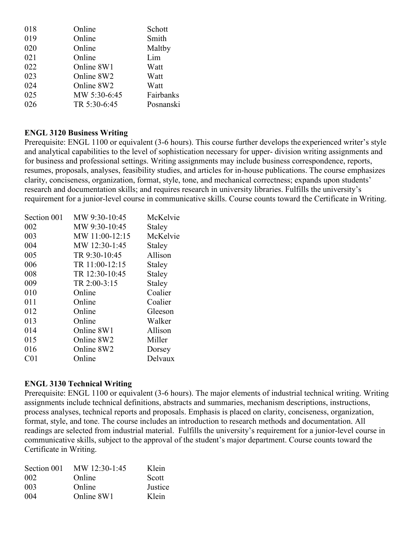| 018 | Online       | Schott    |
|-----|--------------|-----------|
| 019 | Online       | Smith     |
| 020 | Online       | Maltby    |
| 021 | Online       | Lim       |
| 022 | Online 8W1   | Watt      |
| 023 | Online 8W2   | Watt      |
| 024 | Online 8W2   | Watt      |
| 025 | MW 5:30-6:45 | Fairbanks |
| 026 | TR 5:30-6:45 | Posnanski |

#### **ENGL 3120 Business Writing**

Prerequisite: ENGL 1100 or equivalent (3-6 hours). This course further develops the experienced writer's style and analytical capabilities to the level of sophistication necessary for upper- division writing assignments and for business and professional settings. Writing assignments may include business correspondence, reports, resumes, proposals, analyses, feasibility studies, and articles for in-house publications. The course emphasizes clarity, conciseness, organization, format, style, tone, and mechanical correctness; expands upon students' research and documentation skills; and requires research in university libraries. Fulfills the university's requirement for a junior-level course in communicative skills. Course counts toward the Certificate in Writing.

| Section 001     | MW 9:30-10:45  | McKelvie |
|-----------------|----------------|----------|
| 002             | MW 9:30-10:45  | Staley   |
| 003             | MW 11:00-12:15 | McKelvie |
| 004             | MW 12:30-1:45  | Staley   |
| 005             | TR 9:30-10:45  | Allison  |
| 006             | TR 11:00-12:15 | Staley   |
| 008             | TR 12:30-10:45 | Staley   |
| 009             | TR 2:00-3:15   | Staley   |
| 010             | Online         | Coalier  |
| 011             | Online         | Coalier  |
| 012             | Online         | Gleeson  |
| 013             | Online         | Walker   |
| 014             | Online 8W1     | Allison  |
| 015             | Online 8W2     | Miller   |
| 016             | Online 8W2     | Dorsey   |
| C <sub>01</sub> | Online         | Delvaux  |
|                 |                |          |

#### **ENGL 3130 Technical Writing**

Prerequisite: ENGL 1100 or equivalent (3-6 hours). The major elements of industrial technical writing. Writing assignments include technical definitions, abstracts and summaries, mechanism descriptions, instructions, process analyses, technical reports and proposals. Emphasis is placed on clarity, conciseness, organization, format, style, and tone. The course includes an introduction to research methods and documentation. All readings are selected from industrial material. Fulfills the university's requirement for a junior-level course in communicative skills, subject to the approval of the student's major department. Course counts toward the Certificate in Writing.

| MW 12:30-1:45 | Klein   |
|---------------|---------|
| Online        | Scott   |
| Online        | Justice |
| Online 8W1    | Klein   |
|               |         |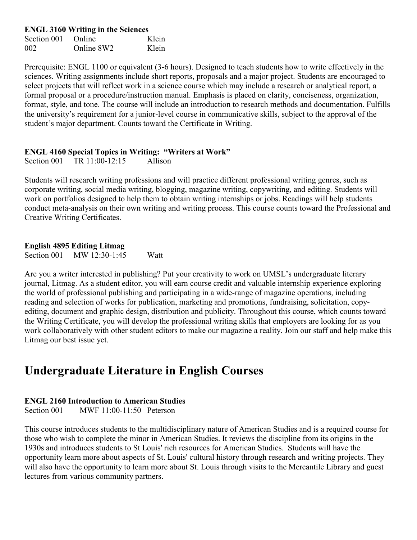**ENGL 3160 Writing in the Sciences**

Section 001 Online Klein 002 Online 8W2 Klein

Prerequisite: ENGL 1100 or equivalent (3-6 hours). Designed to teach students how to write effectively in the sciences. Writing assignments include short reports, proposals and a major project. Students are encouraged to select projects that will reflect work in a science course which may include a research or analytical report, a formal proposal or a procedure/instruction manual. Emphasis is placed on clarity, conciseness, organization, format, style, and tone. The course will include an introduction to research methods and documentation. Fulfills the university's requirement for a junior-level course in communicative skills, subject to the approval of the student's major department. Counts toward the Certificate in Writing.

#### **ENGL 4160 Special Topics in Writing: "Writers at Work"**

Section 001 TR 11:00-12:15 Allison

Students will research writing professions and will practice different professional writing genres, such as corporate writing, social media writing, blogging, magazine writing, copywriting, and editing. Students will work on portfolios designed to help them to obtain writing internships or jobs. Readings will help students conduct meta-analysis on their own writing and writing process. This course counts toward the Professional and Creative Writing Certificates.

#### **English 4895 Editing Litmag**

Section 001 MW 12:30-1:45 Watt

Are you a writer interested in publishing? Put your creativity to work on UMSL's undergraduate literary journal, Litmag. As a student editor, you will earn course credit and valuable internship experience exploring the world of professional publishing and participating in a wide-range of magazine operations, including reading and selection of works for publication, marketing and promotions, fundraising, solicitation, copyediting, document and graphic design, distribution and publicity. Throughout this course, which counts toward the Writing Certificate, you will develop the professional writing skills that employers are looking for as you work collaboratively with other student editors to make our magazine a reality. Join our staff and help make this Litmag our best issue yet.

### **Undergraduate Literature in English Courses**

#### **ENGL 2160 Introduction to American Studies**

Section 001 MWF 11:00-11:50 Peterson

This course introduces students to the multidisciplinary nature of American Studies and is a required course for those who wish to complete the minor in American Studies. It reviews the discipline from its origins in the 1930s and introduces students to St Louis' rich resources for American Studies. Students will have the opportunity learn more about aspects of St. Louis' cultural history through research and writing projects. They will also have the opportunity to learn more about St. Louis through visits to the Mercantile Library and guest lectures from various community partners.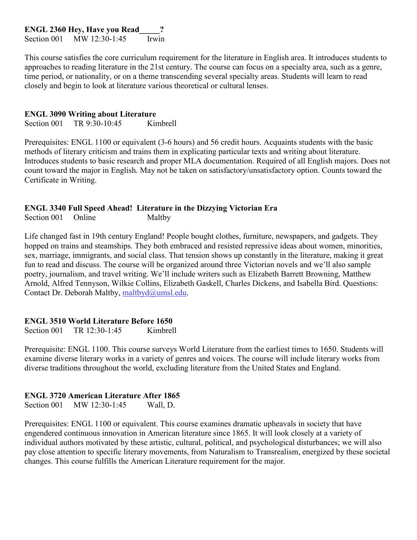**ENGL 2360 Hey, Have you Read\_\_\_\_\_?**

Section 001 MW 12:30-1:45 Irwin

This course satisfies the core curriculum requirement for the literature in English area. It introduces students to approaches to reading literature in the 21st century. The course can focus on a specialty area, such as a genre, time period, or nationality, or on a theme transcending several specialty areas. Students will learn to read closely and begin to look at literature various theoretical or cultural lenses.

#### **ENGL 3090 Writing about Literature**

Section 001 TR 9:30-10:45 Kimbrell

Prerequisites: ENGL 1100 or equivalent (3-6 hours) and 56 credit hours. Acquaints students with the basic methods of literary criticism and trains them in explicating particular texts and writing about literature. Introduces students to basic research and proper MLA documentation. Required of all English majors. Does not count toward the major in English. May not be taken on satisfactory/unsatisfactory option. Counts toward the Certificate in Writing.

#### **ENGL 3340 Full Speed Ahead! Literature in the Dizzying Victorian Era**

Section 001 Online Maltby

Life changed fast in 19th century England! People bought clothes, furniture, newspapers, and gadgets. They hopped on trains and steamships. They both embraced and resisted repressive ideas about women, minorities, sex, marriage, immigrants, and social class. That tension shows up constantly in the literature, making it great fun to read and discuss. The course will be organized around three Victorian novels and we'll also sample poetry, journalism, and travel writing. We'll include writers such as Elizabeth Barrett Browning, Matthew Arnold, Alfred Tennyson, Wilkie Collins, Elizabeth Gaskell, Charles Dickens, and Isabella Bird. Questions: Contact Dr. Deborah Maltb[y, maltbyd@umsl.edu.](mailto:maltbyd@umsl.edu)

#### **ENGL 3510 World Literature Before 1650**

Section 001 TR 12:30-1:45 Kimbrell

Prerequisite: ENGL 1100. This course surveys World Literature from the earliest times to 1650. Students will examine diverse literary works in a variety of genres and voices. The course will include literary works from diverse traditions throughout the world, excluding literature from the United States and England.

#### **ENGL 3720 American Literature After 1865**

Section 001 MW 12:30-1:45 Wall, D.

Prerequisites: ENGL 1100 or equivalent. This course examines dramatic upheavals in society that have engendered continuous innovation in American literature since 1865. It will look closely at a variety of individual authors motivated by these artistic, cultural, political, and psychological disturbances; we will also pay close attention to specific literary movements, from Naturalism to Transrealism, energized by these societal changes. This course fulfills the American Literature requirement for the major.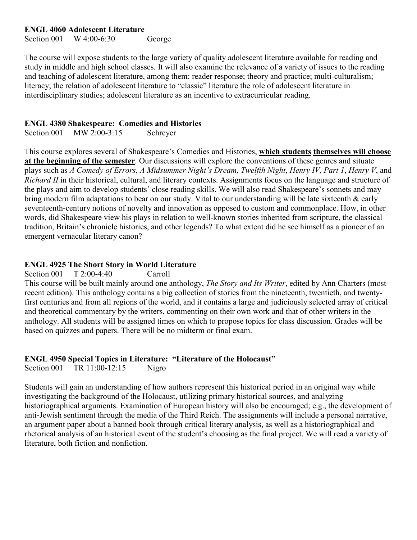#### **ENGL 4060 Adolescent Literature**

Section 001 W 4:00-6:30 George

The course will expose students to the large variety of quality adolescent literature available for reading and study in middle and high school classes. It will also examine the relevance of a variety of issues to the reading and teaching of adolescent literature, among them: reader response; theory and practice; multi-culturalism; literacy; the relation of adolescent literature to "classic" literature the role of adolescent literature in interdisciplinary studies; adolescent literature as an incentive to extracurricular reading.

#### **ENGL 4380 Shakespeare: Comedies and Histories**

Section 001 MW 2:00-3:15 Schreyer

This course explores several of Shakespeare's Comedies and Histories, **which students themselves will choose at the beginning of the semester**. Our discussions will explore the conventions of these genres and situate plays such as *A Comedy of Errors*, *A Midsummer Night's Dream*, *Twelfth Night*, *Henry IV, Part 1*, *Henry V*, and *Richard II* in their historical, cultural, and literary contexts. Assignments focus on the language and structure of the plays and aim to develop students' close reading skills. We will also read Shakespeare's sonnets and may bring modern film adaptations to bear on our study. Vital to our understanding will be late sixteenth & early seventeenth-century notions of novelty and innovation as opposed to custom and commonplace. How, in other words, did Shakespeare view his plays in relation to well-known stories inherited from scripture, the classical tradition, Britain's chronicle histories, and other legends? To what extent did he see himself as a pioneer of an emergent vernacular literary canon?

#### **ENGL 4925 The Short Story in World Literature**

Section 001 T 2:00-4:40 Carroll

This course will be built mainly around one anthology, *The Story and Its Writer*, edited by Ann Charters (most recent edition). This anthology contains a big collection of stories from the nineteenth, twentieth, and twentyfirst centuries and from all regions of the world, and it contains a large and judiciously selected array of critical and theoretical commentary by the writers, commenting on their own work and that of other writers in the anthology. All students will be assigned times on which to propose topics for class discussion. Grades will be based on quizzes and papers. There will be no midterm or final exam.

#### **ENGL 4950 Special Topics in Literature: "Literature of the Holocaust"**

Section 001 TR 11:00-12:15 Nigro

Students will gain an understanding of how authors represent this historical period in an original way while investigating the background of the Holocaust, utilizing primary historical sources, and analyzing historiographical arguments. Examination of European history will also be encouraged; e.g., the development of anti-Jewish sentiment through the media of the Third Reich. The assignments will include a personal narrative, an argument paper about a banned book through critical literary analysis, as well as a historiographical and rhetorical analysis of an historical event of the student's choosing as the final project. We will read a variety of literature, both fiction and nonfiction.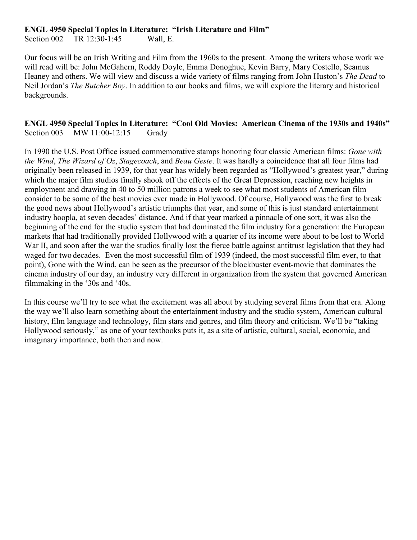#### **ENGL 4950 Special Topics in Literature: "Irish Literature and Film"**

Section 002 TR 12:30-1:45 Wall, E.

Our focus will be on Irish Writing and Film from the 1960s to the present. Among the writers whose work we will read will be: John McGahern, Roddy Doyle, Emma Donoghue, Kevin Barry, Mary Costello, Seamus Heaney and others. We will view and discuss a wide variety of films ranging from John Huston's *The Dead* to Neil Jordan's *The Butcher Boy*. In addition to our books and films, we will explore the literary and historical backgrounds.

#### **ENGL 4950 Special Topics in Literature: "Cool Old Movies: American Cinema of the 1930s and 1940s"** Section 003 MW 11:00-12:15 Grady

In 1990 the U.S. Post Office issued commemorative stamps honoring four classic American films: *Gone with the Wind*, *The Wizard of Oz*, *Stagecoach*, and *Beau Geste*. It was hardly a coincidence that all four films had originally been released in 1939, for that year has widely been regarded as "Hollywood's greatest year," during which the major film studios finally shook off the effects of the Great Depression, reaching new heights in employment and drawing in 40 to 50 million patrons a week to see what most students of American film consider to be some of the best movies ever made in Hollywood. Of course, Hollywood was the first to break the good news about Hollywood's artistic triumphs that year, and some of this is just standard entertainment industry hoopla, at seven decades' distance. And if that year marked a pinnacle of one sort, it was also the beginning of the end for the studio system that had dominated the film industry for a generation: the European markets that had traditionally provided Hollywood with a quarter of its income were about to be lost to World War II, and soon after the war the studios finally lost the fierce battle against antitrust legislation that they had waged for two decades. Even the most successful film of 1939 (indeed, the most successful film ever, to that point), Gone with the Wind, can be seen as the precursor of the blockbuster event-movie that dominates the cinema industry of our day, an industry very different in organization from the system that governed American filmmaking in the '30s and '40s.

In this course we'll try to see what the excitement was all about by studying several films from that era. Along the way we'll also learn something about the entertainment industry and the studio system, American cultural history, film language and technology, film stars and genres, and film theory and criticism. We'll be "taking Hollywood seriously," as one of your textbooks puts it, as a site of artistic, cultural, social, economic, and imaginary importance, both then and now.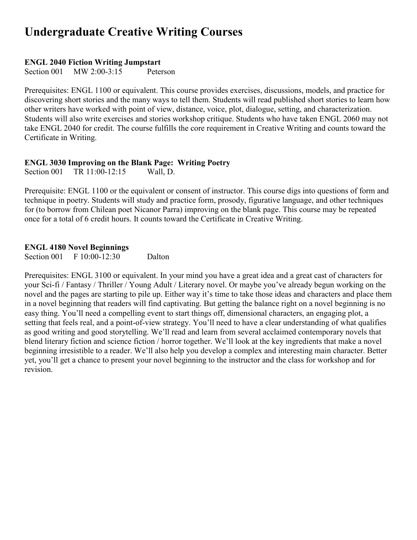## **Undergraduate Creative Writing Courses**

#### **ENGL 2040 Fiction Writing Jumpstart**

Section 001 MW 2:00-3:15 Peterson

Prerequisites: ENGL 1100 or equivalent. This course provides exercises, discussions, models, and practice for discovering short stories and the many ways to tell them. Students will read published short stories to learn how other writers have worked with point of view, distance, voice, plot, dialogue, setting, and characterization. Students will also write exercises and stories workshop critique. Students who have taken ENGL 2060 may not take ENGL 2040 for credit. The course fulfills the core requirement in Creative Writing and counts toward the Certificate in Writing.

## **ENGL 3030 Improving on the Blank Page: Writing Poetry**

Section 001 TR 11:00-12:15

Prerequisite: ENGL 1100 or the equivalent or consent of instructor. This course digs into questions of form and technique in poetry. Students will study and practice form, prosody, figurative language, and other techniques for (to borrow from Chilean poet Nicanor Parra) improving on the blank page. This course may be repeated once for a total of 6 credit hours. It counts toward the Certificate in Creative Writing.

#### **ENGL 4180 Novel Beginnings**

Section 001 F 10:00-12:30 Dalton

Prerequisites: ENGL 3100 or equivalent. In your mind you have a great idea and a great cast of characters for your Sci-fi / Fantasy / Thriller / Young Adult / Literary novel. Or maybe you've already begun working on the novel and the pages are starting to pile up. Either way it's time to take those ideas and characters and place them in a novel beginning that readers will find captivating. But getting the balance right on a novel beginning is no easy thing. You'll need a compelling event to start things off, dimensional characters, an engaging plot, a setting that feels real, and a point-of-view strategy. You'll need to have a clear understanding of what qualifies as good writing and good storytelling. We'll read and learn from several acclaimed contemporary novels that blend literary fiction and science fiction / horror together. We'll look at the key ingredients that make a novel beginning irresistible to a reader. We'll also help you develop a complex and interesting main character. Better yet, you'll get a chance to present your novel beginning to the instructor and the class for workshop and for revision.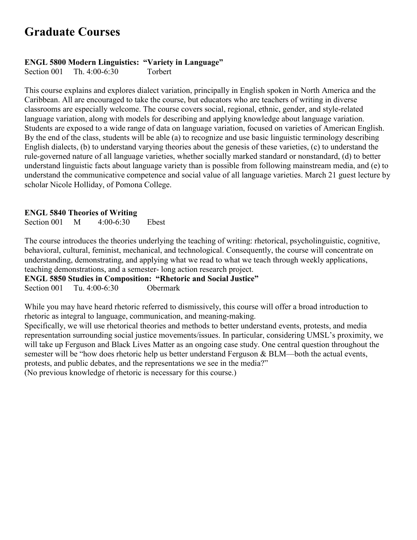## **Graduate Courses**

#### **ENGL 5800 Modern Linguistics: "Variety in Language"**

Section 001 Th. 4:00-6:30 Torbert

This course explains and explores dialect variation, principally in English spoken in North America and the Caribbean. All are encouraged to take the course, but educators who are teachers of writing in diverse classrooms are especially welcome. The course covers social, regional, ethnic, gender, and style-related language variation, along with models for describing and applying knowledge about language variation. Students are exposed to a wide range of data on language variation, focused on varieties of American English. By the end of the class, students will be able (a) to recognize and use basic linguistic terminology describing English dialects, (b) to understand varying theories about the genesis of these varieties, (c) to understand the rule-governed nature of all language varieties, whether socially marked standard or nonstandard, (d) to better understand linguistic facts about language variety than is possible from following mainstream media, and (e) to understand the communicative competence and social value of all language varieties. March 21 guest lecture by scholar Nicole Holliday, of Pomona College.

#### **ENGL 5840 Theories of Writing**

Section 001 M 4:00-6:30 Ebest

The course introduces the theories underlying the teaching of writing: rhetorical, psycholinguistic, cognitive, behavioral, cultural, feminist, mechanical, and technological. Consequently, the course will concentrate on understanding, demonstrating, and applying what we read to what we teach through weekly applications, teaching demonstrations, and a semester- long action research project.

**ENGL 5850 Studies in Composition: "Rhetoric and Social Justice"** Section 001 Tu. 4:00-6:30 Obermark

While you may have heard rhetoric referred to dismissively, this course will offer a broad introduction to rhetoric as integral to language, communication, and meaning-making.

Specifically, we will use rhetorical theories and methods to better understand events, protests, and media representation surrounding social justice movements/issues. In particular, considering UMSL's proximity, we will take up Ferguson and Black Lives Matter as an ongoing case study. One central question throughout the semester will be "how does rhetoric help us better understand Ferguson & BLM—both the actual events, protests, and public debates, and the representations we see in the media?"

(No previous knowledge of rhetoric is necessary for this course.)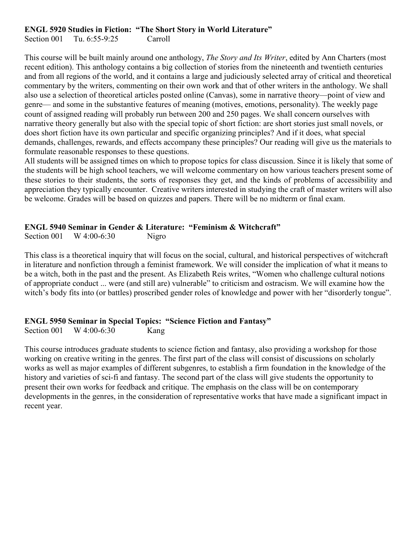#### **ENGL 5920 Studies in Fiction: "The Short Story in World Literature"**

Section 001 Tu. 6:55-9:25 Carroll

This course will be built mainly around one anthology, *The Story and Its Writer*, edited by Ann Charters (most recent edition). This anthology contains a big collection of stories from the nineteenth and twentieth centuries and from all regions of the world, and it contains a large and judiciously selected array of critical and theoretical commentary by the writers, commenting on their own work and that of other writers in the anthology. We shall also use a selection of theoretical articles posted online (Canvas), some in narrative theory—point of view and genre— and some in the substantive features of meaning (motives, emotions, personality). The weekly page count of assigned reading will probably run between 200 and 250 pages. We shall concern ourselves with narrative theory generally but also with the special topic of short fiction: are short stories just small novels, or does short fiction have its own particular and specific organizing principles? And if it does, what special demands, challenges, rewards, and effects accompany these principles? Our reading will give us the materials to formulate reasonable responses to these questions.

All students will be assigned times on which to propose topics for class discussion. Since it is likely that some of the students will be high school teachers, we will welcome commentary on how various teachers present some of these stories to their students, the sorts of responses they get, and the kinds of problems of accessibility and appreciation they typically encounter. Creative writers interested in studying the craft of master writers will also be welcome. Grades will be based on quizzes and papers. There will be no midterm or final exam.

#### **ENGL 5940 Seminar in Gender & Literature: "Feminism & Witchcraft"**

Section 001 W 4:00-6:30 Nigro

This class is a theoretical inquiry that will focus on the social, cultural, and historical perspectives of witchcraft in literature and nonfiction through a feminist framework. We will consider the implication of what it means to be a witch, both in the past and the present. As Elizabeth Reis writes, "Women who challenge cultural notions of appropriate conduct ... were (and still are) vulnerable" to criticism and ostracism. We will examine how the witch's body fits into (or battles) proscribed gender roles of knowledge and power with her "disorderly tongue".

#### **ENGL 5950 Seminar in Special Topics: "Science Fiction and Fantasy"**

Section 001 W 4:00-6:30 Kang

This course introduces graduate students to science fiction and fantasy, also providing a workshop for those working on creative writing in the genres. The first part of the class will consist of discussions on scholarly works as well as major examples of different subgenres, to establish a firm foundation in the knowledge of the history and varieties of sci-fi and fantasy. The second part of the class will give students the opportunity to present their own works for feedback and critique. The emphasis on the class will be on contemporary developments in the genres, in the consideration of representative works that have made a significant impact in recent year.